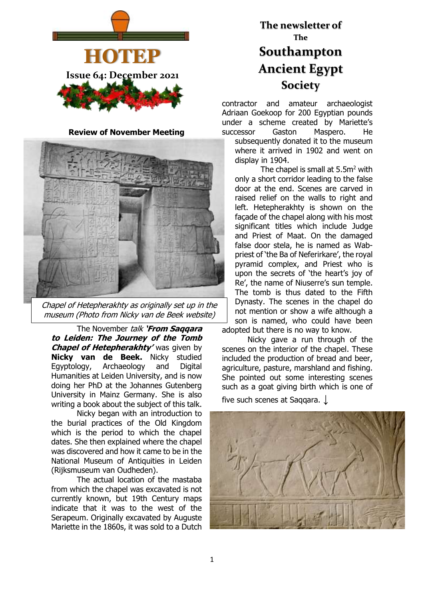

**Review of November Meeting**



Chapel of Hetepherakhty as originally set up in the museum (Photo from Nicky van de Beek website)

The November talk **'From Saqqara to Leiden: The Journey of the Tomb Chapel of Hetepherakhty'** was given by **Nicky van de Beek.** Nicky studied Egyptology, Archaeology and Digital Humanities at Leiden University, and is now doing her PhD at the Johannes Gutenberg University in Mainz Germany. She is also writing a book about the subject of this talk.

Nicky began with an introduction to the burial practices of the Old Kingdom which is the period to which the chapel dates. She then explained where the chapel was discovered and how it came to be in the National Museum of Antiquities in Leiden (Rijksmuseum van Oudheden).

The actual location of the mastaba from which the chapel was excavated is not currently known, but 19th Century maps indicate that it was to the west of the Serapeum. Originally excavated by Auguste Mariette in the 1860s, it was sold to a Dutch

# **The newsletter of The Southampton Ancient Egypt Society**

contractor and amateur archaeologist Adriaan Goekoop for 200 Egyptian pounds under a scheme created by Mariette's successor Gaston Maspero. He

subsequently donated it to the museum where it arrived in 1902 and went on display in 1904.

The chapel is small at 5.5m<sup>2</sup> with only a short corridor leading to the false door at the end. Scenes are carved in raised relief on the walls to right and left. Hetepherakhty is shown on the façade of the chapel along with his most significant titles which include Judge and Priest of Maat. On the damaged false door stela, he is named as Wabpriest of 'the Ba of Neferirkare', the royal pyramid complex, and Priest who is upon the secrets of 'the heart's joy of Re', the name of Niuserre's sun temple. The tomb is thus dated to the Fifth Dynasty. The scenes in the chapel do not mention or show a wife although a son is named, who could have been adopted but there is no way to know.

Nicky gave a run through of the scenes on the interior of the chapel. These included the production of bread and beer, agriculture, pasture, marshland and fishing. She pointed out some interesting scenes such as a goat giving birth which is one of

five such scenes at Saqqara. **↓**

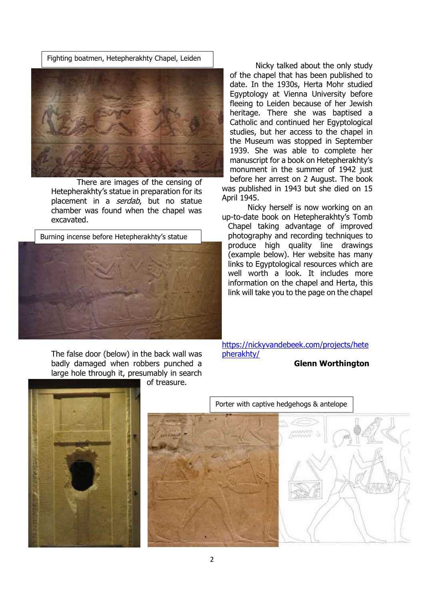Fighting boatmen, Hetepherakhty Chapel, Leiden



There are images of the censing of Hetepherakhty's statue in preparation for its placement in a *serdab*, but no statue chamber was found when the chapel was excavated.



The false door (below) in the back wall was badly damaged when robbers punched a large hole through it, presumably in search

of treasure.

Nicky talked about the only study of the chapel that has been published to date. In the 1930s, Herta Mohr studied Egyptology at Vienna University before fleeing to Leiden because of her Jewish heritage. There she was baptised a Catholic and continued her Egyptological studies, but her access to the chapel in the Museum was stopped in September 1939. She was able to complete her manuscript for a book on Hetepherakhty's monument in the summer of 1942 just before her arrest on 2 August. The book was published in 1943 but she died on 15 April 1945.

Nicky herself is now working on an up-to-date book on Hetepherakhty's Tomb

Chapel taking advantage of improved photography and recording techniques to produce high quality line drawings (example below). Her website has many links to Egyptological resources which are well worth a look. It includes more information on the chapel and Herta, this link will take you to the page on the chapel

[https://nickyvandebeek.com/projects/hete](https://nickyvandebeek.com/projects/hetepherakhty/) [pherakhty/](https://nickyvandebeek.com/projects/hetepherakhty/)

#### **Glenn Worthington**



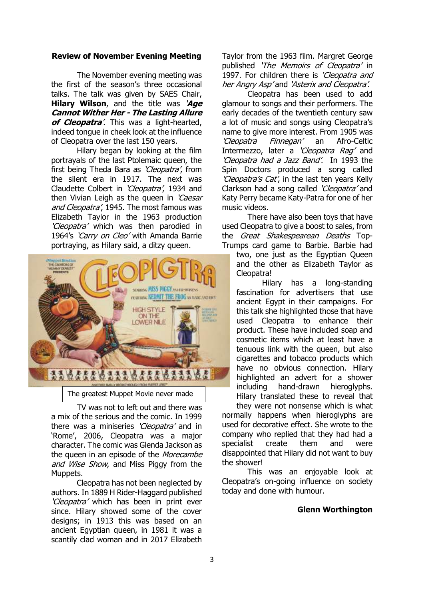#### **Review of November Evening Meeting**

The November evening meeting was the first of the season's three occasional talks. The talk was given by SAES Chair, **Hilary Wilson**, and the title was '**Age Cannot Wither Her - The Lasting Allure of Cleopatra**'. This was a light-hearted, indeed tongue in cheek look at the influence of Cleopatra over the last 150 years.

Hilary began by looking at the film portrayals of the last Ptolemaic queen, the first being Theda Bara as 'Cleopatra', from the silent era in 1917. The next was Claudette Colbert in 'Cleopatra', 1934 and then Vivian Leigh as the queen in 'Caesar and Cleopatra', 1945. The most famous was Elizabeth Taylor in the 1963 production 'Cleopatra' which was then parodied in 1964's 'Carry on Cleo' with Amanda Barrie portraying, as Hilary said, a ditzy queen.



The greatest Muppet Movie never made

TV was not to left out and there was a mix of the serious and the comic. In 1999 there was a miniseries 'Cleopatra' and in 'Rome', 2006, Cleopatra was a major character. The comic was Glenda Jackson as the queen in an episode of the Morecambe and Wise Show, and Miss Piggy from the Muppets.

Cleopatra has not been neglected by authors. In 1889 H Rider-Haggard published 'Cleopatra' which has been in print ever since. Hilary showed some of the cover designs; in 1913 this was based on an ancient Egyptian queen, in 1981 it was a scantily clad woman and in 2017 Elizabeth

Taylor from the 1963 film. Margret George published '*The Memoirs of Cleopatra'* in 1997. For children there is 'Cleopatra and her Angry Asp'and 'Asterix and Cleopatra'.

Cleopatra has been used to add glamour to songs and their performers. The early decades of the twentieth century saw a lot of music and songs using Cleopatra's name to give more interest. From 1905 was 'Cleopatra Finnegan' an Afro-Celtic Intermezzo, later a 'Cleopatra Rag' and 'Cleopatra had a Jazz Band'. In 1993 the Spin Doctors produced a song called 'Cleopatra's Cat', in the last ten years Kelly Clarkson had a song called 'Cleopatra' and Katy Perry became Katy-Patra for one of her music videos.

There have also been toys that have used Cleopatra to give a boost to sales, from the *Great Shakespearean Deaths* Top-Trumps card game to Barbie. Barbie had

two, one just as the Egyptian Queen and the other as Elizabeth Taylor as Cleopatra!

Hilary has a long-standing fascination for advertisers that use ancient Egypt in their campaigns. For this talk she highlighted those that have used Cleopatra to enhance their product. These have included soap and cosmetic items which at least have a tenuous link with the queen, but also cigarettes and tobacco products which have no obvious connection. Hilary highlighted an advert for a shower including hand-drawn hieroglyphs. Hilary translated these to reveal that

they were not nonsense which is what normally happens when hieroglyphs are used for decorative effect. She wrote to the company who replied that they had had a specialist create them and were disappointed that Hilary did not want to buy the shower!

This was an enjoyable look at Cleopatra's on-going influence on society today and done with humour.

#### **Glenn Worthington**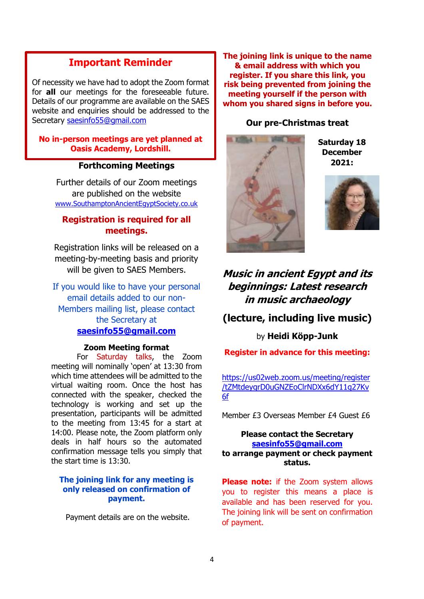## **Important Reminder**

Of necessity we have had to adopt the Zoom format for **all** our meetings for the foreseeable future. Details of our programme are available on the SAES website and enquiries should be addressed to the Secretary [saesinfo55@gmail.com](mailto:saesinfo55@gmail.com)

**No in-person meetings are yet planned at Oasis Academy, Lordshill.**

#### **Forthcoming Meetings**

Further details of our Zoom meetings are published on the website [www.SouthamptonAncientEgyptSociety.co.uk](http://www.southamptonancientegyptsociety.co.uk/)

### **Registration is required for all meetings.**

Registration links will be released on a meeting-by-meeting basis and priority will be given to SAES Members.

If you would like to have your personal email details added to our non-Members mailing list, please contact the Secretary at **[saesinfo55@gmail.com](mailto:saesinfo55@gmail.com)**

#### **Zoom Meeting format**

For Saturday talks, the Zoom meeting will nominally 'open' at 13:30 from which time attendees will be admitted to the virtual waiting room. Once the host has connected with the speaker, checked the technology is working and set up the presentation, participants will be admitted to the meeting from 13:45 for a start at 14:00. Please note, the Zoom platform only deals in half hours so the automated confirmation message tells you simply that the start time is 13:30.

#### **The joining link for any meeting is only released on confirmation of payment.**

Payment details are on the website.

**The joining link is unique to the name & email address with which you register. If you share this link, you risk being prevented from joining the meeting yourself if the person with whom you shared signs in before you.**

#### **Our pre-Christmas treat**



**Saturday 18 December 2021:**



## **Music in ancient Egypt and its beginnings: Latest research in music archaeology**

## **(lecture, including live music)**

by **Heidi Köpp-Junk**

**Register in advance for this meeting:**

[https://us02web.zoom.us/meeting/register](https://us02web.zoom.us/meeting/register/tZMtdeygrD0uGNZEoClrNDXx6dY11g27Kv6f) [/tZMtdeygrD0uGNZEoClrNDXx6dY11g27Kv](https://us02web.zoom.us/meeting/register/tZMtdeygrD0uGNZEoClrNDXx6dY11g27Kv6f) [6f](https://us02web.zoom.us/meeting/register/tZMtdeygrD0uGNZEoClrNDXx6dY11g27Kv6f)

Member £3 Overseas Member £4 Guest £6

#### **Please contact the Secretary [saesinfo55@gmail.com](mailto:saesinfo55@gmail.com) to arrange payment or check payment status.**

**Please note:** if the Zoom system allows you to register this means a place is available and has been reserved for you. The joining link will be sent on confirmation of payment.